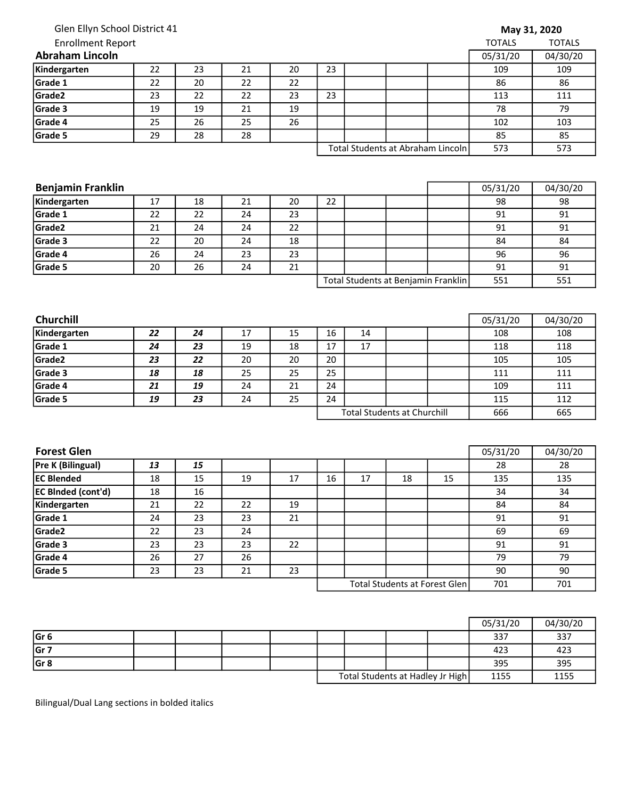| Glen Ellyn School District 41                                                                                                                                                                                                                             |    |    |    |    |    |                                    |    |                                     | May 31, 2020  |               |
|-----------------------------------------------------------------------------------------------------------------------------------------------------------------------------------------------------------------------------------------------------------|----|----|----|----|----|------------------------------------|----|-------------------------------------|---------------|---------------|
| <b>Enrollment Report</b>                                                                                                                                                                                                                                  |    |    |    |    |    |                                    |    |                                     | <b>TOTALS</b> | <b>TOTALS</b> |
| <b>Abraham Lincoln</b>                                                                                                                                                                                                                                    |    |    |    |    |    |                                    |    |                                     | 05/31/20      | 04/30/20      |
| Kindergarten                                                                                                                                                                                                                                              | 22 | 23 | 21 | 20 | 23 |                                    |    |                                     | 109           | 109           |
| Grade 1                                                                                                                                                                                                                                                   | 22 | 20 | 22 | 22 |    |                                    |    |                                     | 86            | 86            |
| Grade2                                                                                                                                                                                                                                                    | 23 | 22 | 22 | 23 | 23 |                                    |    |                                     | 113           | 111           |
| Grade 3                                                                                                                                                                                                                                                   | 19 | 19 | 21 | 19 |    |                                    |    |                                     | 78            | 79            |
| Grade 4                                                                                                                                                                                                                                                   | 25 | 26 | 25 | 26 |    |                                    |    |                                     | 102           | 103           |
| Grade 5                                                                                                                                                                                                                                                   | 29 | 28 | 28 |    |    |                                    |    |                                     | 85            | 85            |
|                                                                                                                                                                                                                                                           |    |    |    |    |    |                                    |    | Total Students at Abraham Lincoln   | 573           | 573           |
|                                                                                                                                                                                                                                                           |    |    |    |    |    |                                    |    |                                     |               |               |
| <b>Benjamin Franklin</b>                                                                                                                                                                                                                                  |    |    |    |    |    |                                    |    |                                     | 05/31/20      | 04/30/20      |
| Kindergarten                                                                                                                                                                                                                                              | 17 | 18 | 21 | 20 | 22 |                                    |    |                                     | 98            | 98            |
| Grade 1                                                                                                                                                                                                                                                   | 22 | 22 | 24 | 23 |    |                                    |    |                                     | 91            | 91            |
| Grade2                                                                                                                                                                                                                                                    | 21 | 24 | 24 | 22 |    |                                    |    |                                     | 91            | 91            |
| Grade 3                                                                                                                                                                                                                                                   | 22 | 20 | 24 | 18 |    |                                    |    |                                     | 84            | 84            |
| Grade 4                                                                                                                                                                                                                                                   | 26 | 24 | 23 | 23 |    |                                    |    |                                     | 96            | 96            |
| Grade 5                                                                                                                                                                                                                                                   | 20 | 26 | 24 | 21 |    |                                    |    |                                     | 91            | 91            |
|                                                                                                                                                                                                                                                           |    |    |    |    |    |                                    |    | Total Students at Benjamin Franklin | 551           | 551           |
|                                                                                                                                                                                                                                                           |    |    |    |    |    |                                    |    |                                     |               |               |
|                                                                                                                                                                                                                                                           |    |    |    |    |    |                                    |    |                                     | 05/31/20      | 04/30/20      |
|                                                                                                                                                                                                                                                           | 22 | 24 | 17 | 15 | 16 | 14                                 |    |                                     | 108           | 108           |
|                                                                                                                                                                                                                                                           | 24 | 23 | 19 | 18 | 17 | 17                                 |    |                                     | 118           | 118           |
|                                                                                                                                                                                                                                                           | 23 | 22 | 20 | 20 | 20 |                                    |    |                                     | 105           | 105           |
|                                                                                                                                                                                                                                                           | 18 | 18 | 25 | 25 | 25 |                                    |    |                                     | 111           | 111           |
|                                                                                                                                                                                                                                                           | 21 | 19 | 24 | 21 | 24 |                                    |    |                                     | 109           | 111           |
|                                                                                                                                                                                                                                                           | 19 | 23 | 24 | 25 | 24 |                                    |    |                                     | 115           | 112           |
|                                                                                                                                                                                                                                                           |    |    |    |    |    | <b>Total Students at Churchill</b> |    |                                     | 666           | 665           |
|                                                                                                                                                                                                                                                           |    |    |    |    |    |                                    |    |                                     |               |               |
|                                                                                                                                                                                                                                                           |    |    |    |    |    |                                    |    |                                     | 05/31/20      | 04/30/20      |
|                                                                                                                                                                                                                                                           | 13 | 15 |    |    |    |                                    |    |                                     | 28            | 28            |
|                                                                                                                                                                                                                                                           | 18 | 15 | 19 | 17 | 16 | 17                                 | 18 | 15                                  | 135           | 135           |
|                                                                                                                                                                                                                                                           | 18 | 16 |    |    |    |                                    |    |                                     | 34            | 34            |
|                                                                                                                                                                                                                                                           | 21 | 22 | 22 | 19 |    |                                    |    |                                     | 84            | 84            |
|                                                                                                                                                                                                                                                           | 24 | 23 | 23 | 21 |    |                                    |    |                                     | 91            | 91            |
|                                                                                                                                                                                                                                                           | 22 | 23 | 24 |    |    |                                    |    |                                     | 69            | 69            |
|                                                                                                                                                                                                                                                           | 23 | 23 | 23 | 22 |    |                                    |    |                                     | 91            | 91            |
|                                                                                                                                                                                                                                                           | 26 | 27 | 26 |    |    |                                    |    |                                     | 79            | 79            |
| <b>Churchill</b><br>Kindergarten<br>Grade 1<br>Grade2<br>Grade 3<br>Grade 4<br>Grade 5<br><b>Forest Glen</b><br>Pre K (Bilingual)<br><b>EC Blended</b><br><b>EC Binded (cont'd)</b><br>Kindergarten<br>Grade 1<br>Grade2<br>Grade 3<br>Grade 4<br>Grade 5 | 23 | 23 | 21 | 23 |    |                                    |    |                                     | 90            | 90            |

|                 |  |  |  |                                  | 05/31/20 | 04/30/20 |
|-----------------|--|--|--|----------------------------------|----------|----------|
| Gr <sub>6</sub> |  |  |  |                                  | 337      | 337      |
| Gr 7            |  |  |  |                                  | 423      | 423      |
| Gr <sub>8</sub> |  |  |  |                                  | 395      | 395      |
|                 |  |  |  | Total Students at Hadley Jr High | 1155     | 1155     |

Bilingual/Dual Lang sections in bolded italics